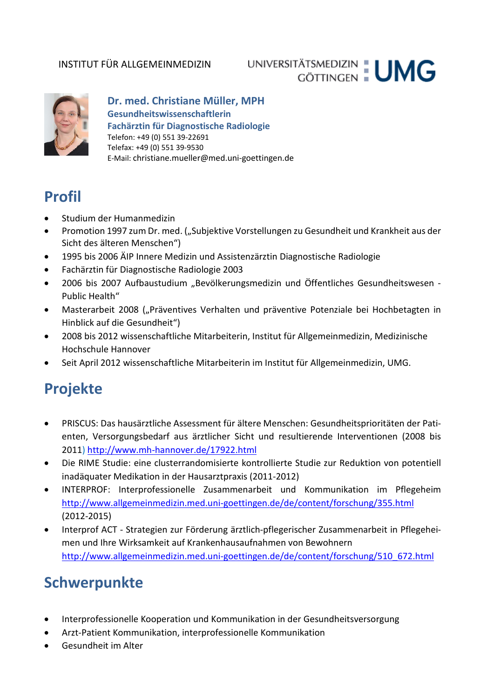### INSTITUT FÜR ALLGEMEINMEDIZIN

# UNIVERSITÄTSMEDIZIN : UMG



### **Dr. med. Christiane Müller, MPH Gesundheitswissenschaftlerin Fachärztin für Diagnostische Radiologie** Telefon: +49 (0) 551 39-22691 Telefax: +49 (0) 551 39-9530 E-Mail: christiane.mueller@med.uni-goettingen.de

### **Profil**

- Studium der Humanmedizin
- Promotion 1997 zum Dr. med. ("Subjektive Vorstellungen zu Gesundheit und Krankheit aus der Sicht des älteren Menschen")
- 1995 bis 2006 ÄIP Innere Medizin und Assistenzärztin Diagnostische Radiologie
- Fachärztin für Diagnostische Radiologie 2003
- 2006 bis 2007 Aufbaustudium "Bevölkerungsmedizin und Öffentliches Gesundheitswesen -Public Health"
- Masterarbeit 2008 ("Präventives Verhalten und präventive Potenziale bei Hochbetagten in Hinblick auf die Gesundheit")
- 2008 bis 2012 wissenschaftliche Mitarbeiterin, Institut für Allgemeinmedizin, Medizinische Hochschule Hannover
- Seit April 2012 wissenschaftliche Mitarbeiterin im Institut für Allgemeinmedizin, UMG.

## **Projekte**

- PRISCUS: Das hausärztliche Assessment für ältere Menschen: Gesundheitsprioritäten der Patienten, Versorgungsbedarf aus ärztlicher Sicht und resultierende Interventionen (2008 bis 2011) <http://www.mh-hannover.de/17922.html>
- Die RIME Studie: eine clusterrandomisierte kontrollierte Studie zur Reduktion von potentiell inadäquater Medikation in der Hausarztpraxis (2011-2012)
- INTERPROF: Interprofessionelle Zusammenarbeit und Kommunikation im Pflegeheim <http://www.allgemeinmedizin.med.uni-goettingen.de/de/content/forschung/355.html> (2012-2015)
- Interprof ACT Strategien zur Förderung ärztlich-pflegerischer Zusammenarbeit in Pflegeheimen und Ihre Wirksamkeit auf Krankenhausaufnahmen von Bewohnern [http://www.allgemeinmedizin.med.uni-goettingen.de/de/content/forschung/510\\_672.html](http://www.allgemeinmedizin.med.uni-goettingen.de/de/content/forschung/510_672.html)

## **Schwerpunkte**

- Interprofessionelle Kooperation und Kommunikation in der Gesundheitsversorgung
- Arzt-Patient Kommunikation, interprofessionelle Kommunikation
- Gesundheit im Alter